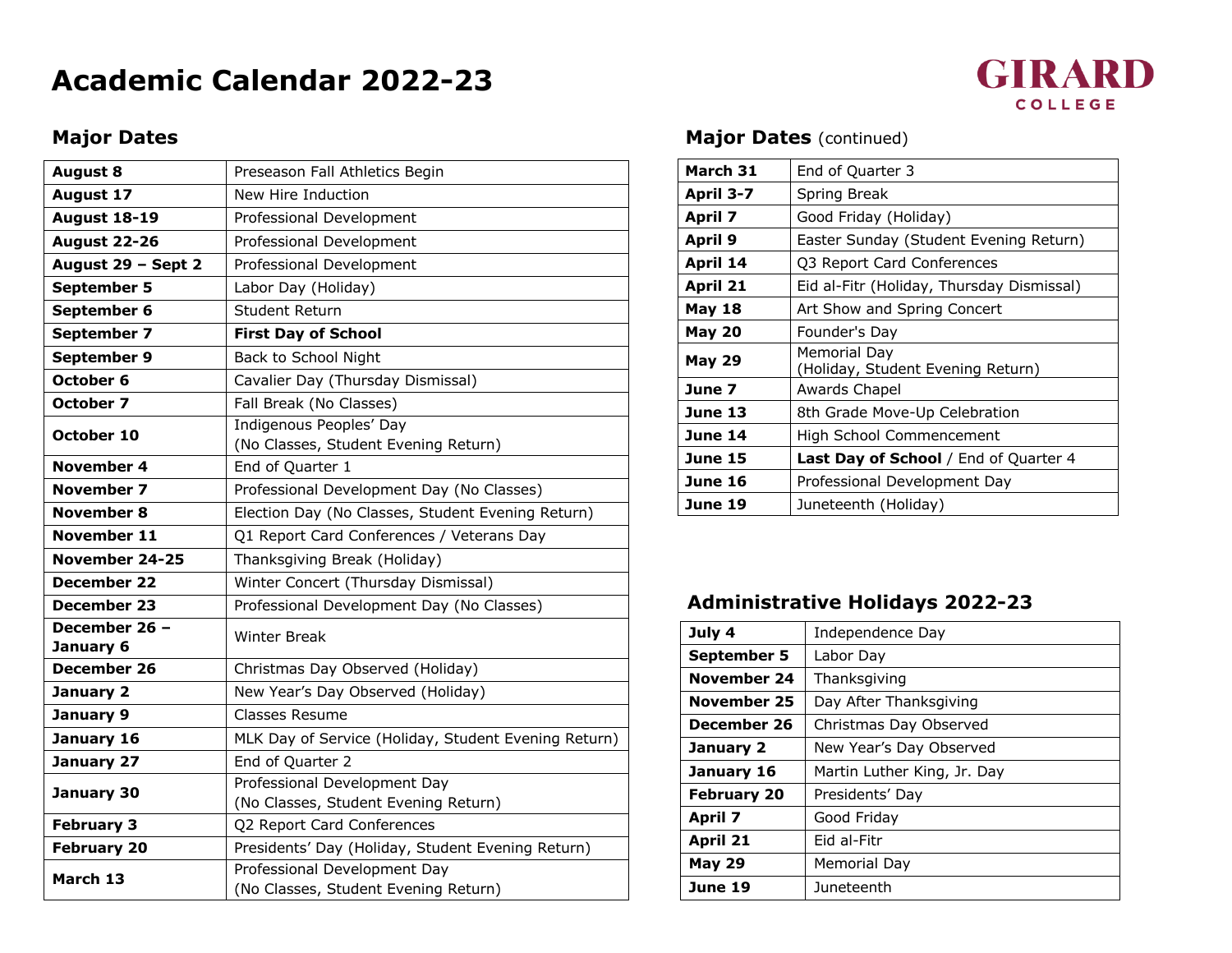# **Academic Calendar 2022-23**

## **GIRARD** COLLEGE

#### **Major Dates**

| <b>August 8</b>            | Preseason Fall Athletics Begin                                       |
|----------------------------|----------------------------------------------------------------------|
| <b>August 17</b>           | New Hire Induction                                                   |
| <b>August 18-19</b>        | Professional Development                                             |
| <b>August 22-26</b>        | Professional Development                                             |
| August 29 - Sept 2         | Professional Development                                             |
| September 5                | Labor Day (Holiday)                                                  |
| September 6                | Student Return                                                       |
| September 7                | <b>First Day of School</b>                                           |
| September 9                | Back to School Night                                                 |
| October 6                  | Cavalier Day (Thursday Dismissal)                                    |
| October 7                  | Fall Break (No Classes)                                              |
| October 10                 | Indigenous Peoples' Day<br>(No Classes, Student Evening Return)      |
| <b>November 4</b>          | End of Quarter 1                                                     |
| November 7                 | Professional Development Day (No Classes)                            |
| <b>November 8</b>          | Election Day (No Classes, Student Evening Return)                    |
| November 11                | Q1 Report Card Conferences / Veterans Day                            |
| November 24-25             | Thanksgiving Break (Holiday)                                         |
| <b>December 22</b>         | Winter Concert (Thursday Dismissal)                                  |
| December 23                | Professional Development Day (No Classes)                            |
| December 26 -<br>January 6 | <b>Winter Break</b>                                                  |
| December 26                | Christmas Day Observed (Holiday)                                     |
| January 2                  | New Year's Day Observed (Holiday)                                    |
| January 9                  | Classes Resume                                                       |
| January 16                 | MLK Day of Service (Holiday, Student Evening Return)                 |
| January 27                 | End of Quarter 2                                                     |
| January 30                 | Professional Development Day<br>(No Classes, Student Evening Return) |
| <b>February 3</b>          | Q2 Report Card Conferences                                           |
| <b>February 20</b>         | Presidents' Day (Holiday, Student Evening Return)                    |
| March 13                   | Professional Development Day<br>(No Classes, Student Evening Return) |

#### **Major Dates** (continued)

| March 31      | End of Quarter 3                                  |
|---------------|---------------------------------------------------|
| April 3-7     | Spring Break                                      |
| April 7       | Good Friday (Holiday)                             |
| April 9       | Easter Sunday (Student Evening Return)            |
| April 14      | Q3 Report Card Conferences                        |
| April 21      | Eid al-Fitr (Holiday, Thursday Dismissal)         |
| <b>May 18</b> | Art Show and Spring Concert                       |
| <b>May 20</b> | Founder's Day                                     |
| <b>May 29</b> | Memorial Day<br>(Holiday, Student Evening Return) |
| June 7        | Awards Chapel                                     |
| June 13       | 8th Grade Move-Up Celebration                     |
| June 14       | High School Commencement                          |
| June 15       | Last Day of School / End of Quarter 4             |
| June 16       | Professional Development Day                      |
| June 19       | Juneteenth (Holiday)                              |

### **Administrative Holidays 2022-23**

| July 4             | Independence Day            |
|--------------------|-----------------------------|
| September 5        | Labor Day                   |
| November 24        | Thanksgiving                |
| November 25        | Day After Thanksgiving      |
| December 26        | Christmas Day Observed      |
| January 2          | New Year's Day Observed     |
| January 16         | Martin Luther King, Jr. Day |
| <b>February 20</b> | Presidents' Day             |
| April 7            | Good Friday                 |
| April 21           | Eid al-Fitr                 |
| <b>May 29</b>      | Memorial Day                |
| June 19            | Juneteenth                  |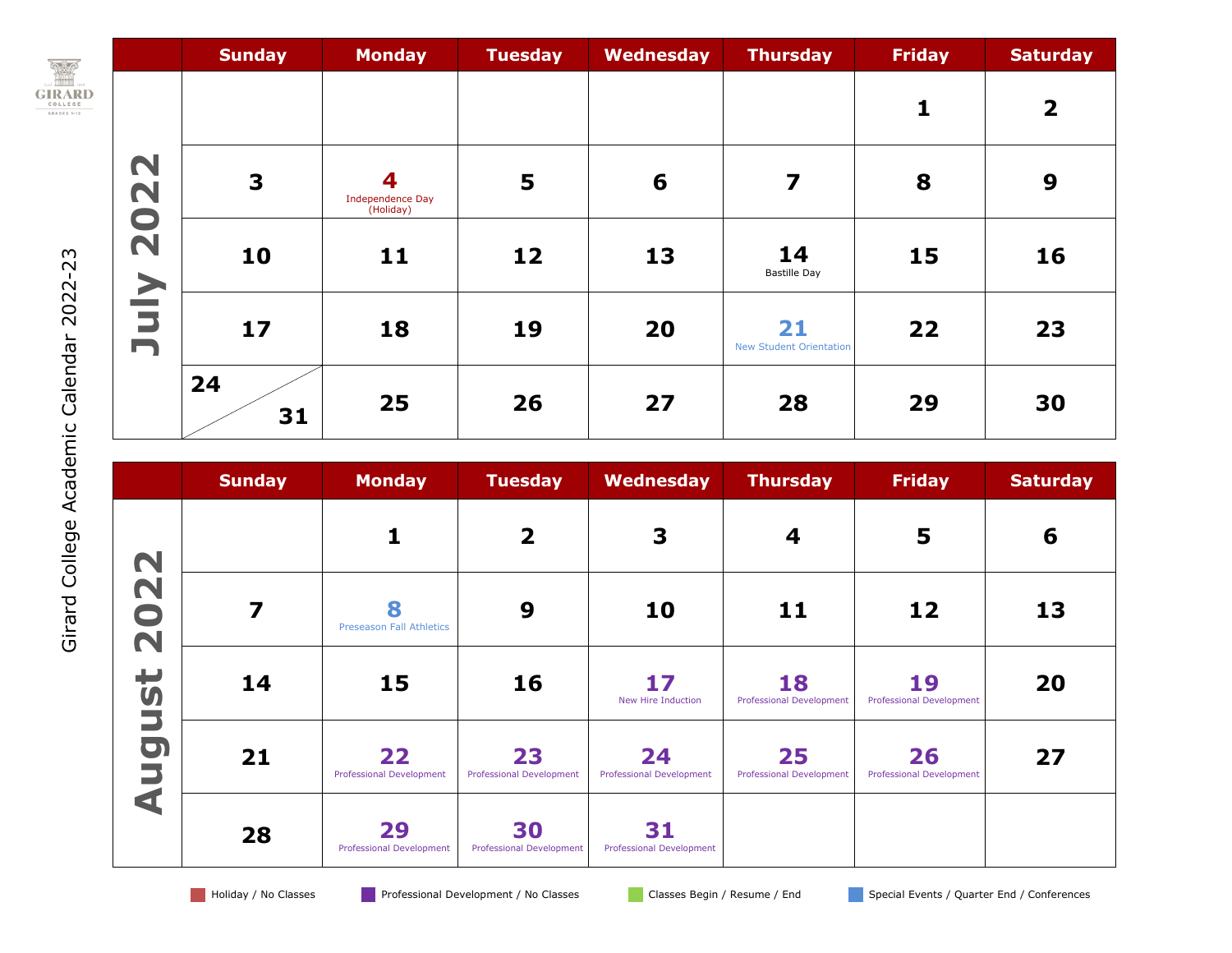

|                                            | <b>Sunday</b>           | <b>Monday</b>                             | <b>Tuesday</b> | <b>Wednesday</b> | <b>Thursday</b>                      | <b>Friday</b> | <b>Saturday</b> |
|--------------------------------------------|-------------------------|-------------------------------------------|----------------|------------------|--------------------------------------|---------------|-----------------|
|                                            |                         |                                           |                |                  |                                      | $\mathbf{1}$  | $\overline{2}$  |
| 2022                                       | $\overline{\mathbf{3}}$ | 4<br><b>Independence Day</b><br>(Holiday) | 5              | 6                | 7                                    | 8             | 9               |
| $\geq$                                     | 10                      | 11                                        | 12             | 13               | 14<br><b>Bastille Day</b>            | 15            | 16              |
| $\overline{\phantom{a}}$<br>$\blacksquare$ | 17                      | 18                                        | 19             | 20               | 21<br><b>New Student Orientation</b> | 22            | 23              |
|                                            | 24<br>31                | 25                                        | 26             | 27               | 28                                   | 29            | 30              |

|                      | <b>Sunday</b> | <b>Monday</b>                         | <b>Tuesday</b>                        | Wednesday                             | <b>Thursday</b>                       | <b>Friday</b>                         | <b>Saturday</b> |
|----------------------|---------------|---------------------------------------|---------------------------------------|---------------------------------------|---------------------------------------|---------------------------------------|-----------------|
|                      |               |                                       | $\overline{\mathbf{2}}$               | 3                                     | 4                                     | 5                                     | 6               |
| 2022                 | 7             | 8<br><b>Preseason Fall Athletics</b>  | 9                                     | 10                                    | 11                                    | 12                                    | 13              |
|                      | 14            | 15                                    | 16                                    | 17<br>New Hire Induction              | 18<br><b>Professional Development</b> | 19<br><b>Professional Development</b> | 20              |
| ugust                | 21            | 22<br><b>Professional Development</b> | 23<br>Professional Development        | 24<br><b>Professional Development</b> | 25<br><b>Professional Development</b> | 26<br><b>Professional Development</b> | 27              |
| $\blacktriangleleft$ | 28            | 29<br><b>Professional Development</b> | 30<br><b>Professional Development</b> | 31<br><b>Professional Development</b> |                                       |                                       |                 |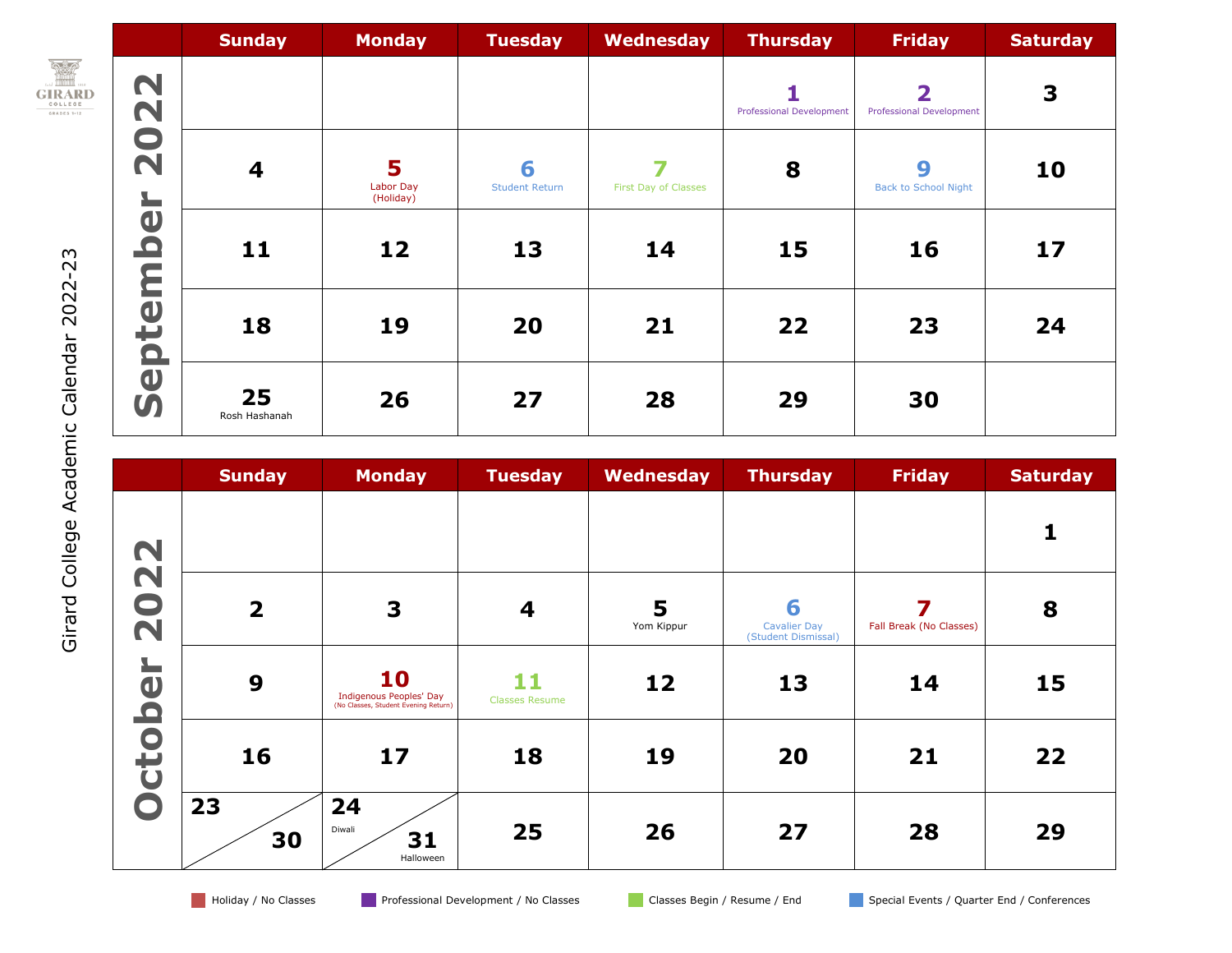

Girard College Academic Calendar 202

2-2 3

|                                                      | <b>Sunday</b>           | <b>Monday</b>               | <b>Tuesday</b>             | Wednesday            | <b>Thursday</b>                 | <b>Friday</b>                                              | <b>Saturday</b> |
|------------------------------------------------------|-------------------------|-----------------------------|----------------------------|----------------------|---------------------------------|------------------------------------------------------------|-----------------|
| <b>22</b>                                            |                         |                             |                            |                      | <b>Professional Development</b> | $\overline{\mathbf{2}}$<br><b>Professional Development</b> | 3               |
| $\bullet$<br>$\overline{\mathbf{N}}$<br>$\mathbf{L}$ | $\overline{\mathbf{4}}$ | 5<br>Labor Day<br>(Holiday) | 6<br><b>Student Return</b> | First Day of Classes | 8                               | 9<br><b>Back to School Night</b>                           | 10              |
| $\mathbf 0$<br>$\Box$                                | 11                      | 12                          | 13                         | 14                   | 15                              | 16                                                         | 17              |
| teml<br>$\Omega$                                     | 18                      | 19                          | 20                         | 21                   | 22                              | 23                                                         | 24              |
| $\overline{\mathbf{0}}$<br>$\boldsymbol{\mathsf{S}}$ | 25<br>Rosh Hashanah     | 26                          | 27                         | 28                   | 29                              | 30                                                         |                 |

|             | <b>Sunday</b>           | <b>Monday</b>                                                         | <b>Tuesday</b>              | Wednesday       | <b>Thursday</b>                                 | <b>Friday</b>           | <b>Saturday</b> |
|-------------|-------------------------|-----------------------------------------------------------------------|-----------------------------|-----------------|-------------------------------------------------|-------------------------|-----------------|
|             |                         |                                                                       |                             |                 |                                                 |                         |                 |
| 2022        | $\overline{\mathbf{2}}$ | 3                                                                     | $\boldsymbol{4}$            | 5<br>Yom Kippur | 6<br><b>Cavalier Day</b><br>(Student Dismissal) | Fall Break (No Classes) | 8               |
| $\mathbf 0$ | 9                       | 10<br>Indigenous Peoples' Day<br>(No Classes, Student Evening Return) | 11<br><b>Classes Resume</b> | 12              | 13                                              | 14                      | 15              |
| ctob        | 16                      | 17                                                                    | 18                          | 19              | 20                                              | 21                      | 22              |
|             | 23<br>30                | 24<br>Diwali<br>31<br>Halloween                                       | 25                          | 26              | 27                                              | 28                      | 29              |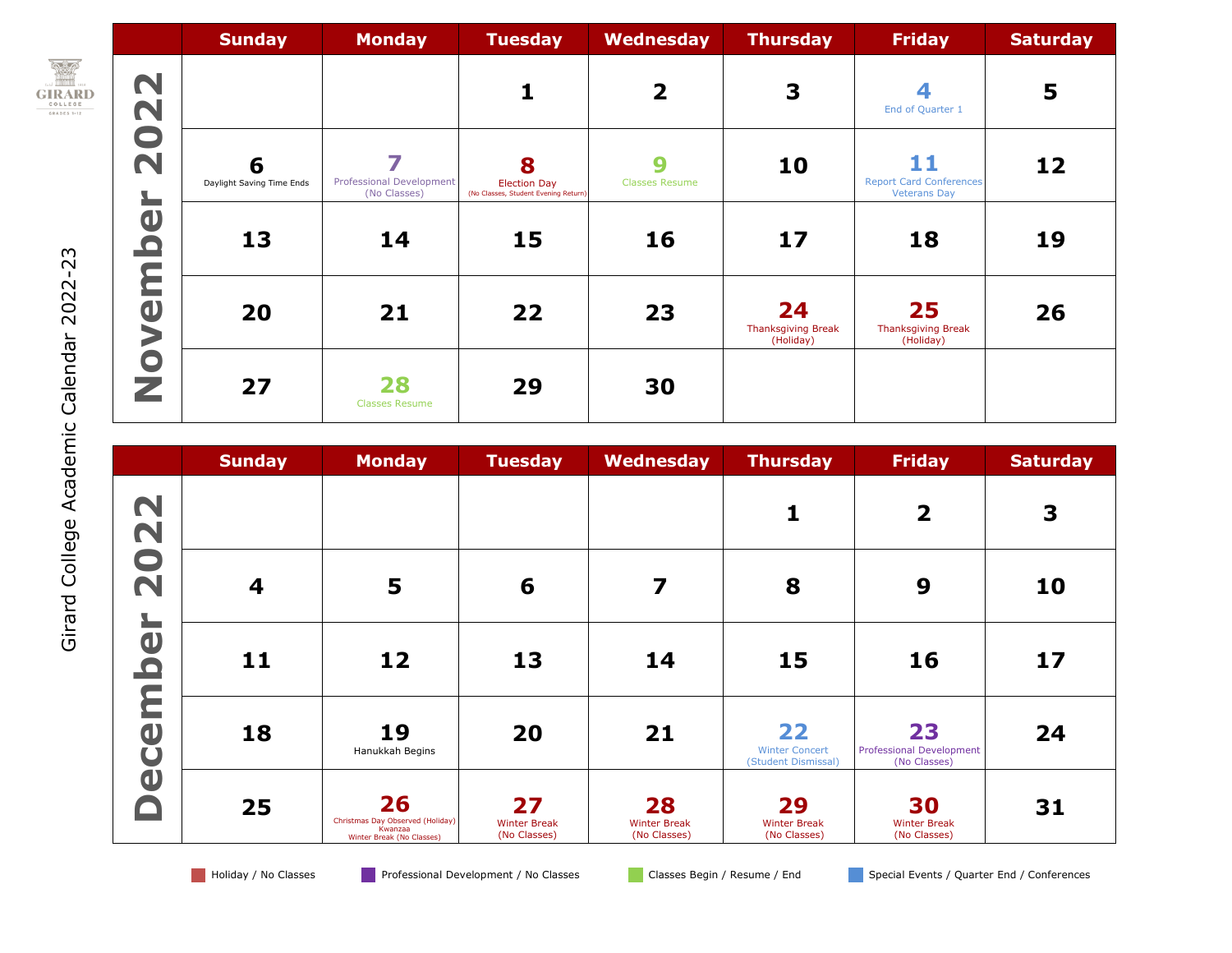

2-2 3

|                                          | <b>Sunday</b>                  | <b>Monday</b>                            | <b>Tuesday</b>                                                   | <b>Wednesday</b>           | <b>Thursday</b>                              | <b>Friday</b>                                               | <b>Saturday</b> |
|------------------------------------------|--------------------------------|------------------------------------------|------------------------------------------------------------------|----------------------------|----------------------------------------------|-------------------------------------------------------------|-----------------|
| 22                                       |                                |                                          |                                                                  | $\overline{\mathbf{2}}$    | 3                                            | End of Quarter 1                                            | 5               |
| 20<br>$\mathbf{L}$                       | 6<br>Daylight Saving Time Ends | Professional Development<br>(No Classes) | 8<br><b>Election Day</b><br>(No Classes, Student Evening Return) | 9<br><b>Classes Resume</b> | 10                                           | 11<br><b>Report Card Conferences</b><br><b>Veterans Day</b> | 12              |
| $\bigcirc$<br>$\mathbf{\Omega}$          | 13                             | 14                                       | 15                                                               | 16                         | 17                                           | 18                                                          | 19              |
| Ε<br>$\bigcirc$<br>$\blacktriangleright$ | 20                             | 21                                       | 22                                                               | 23                         | 24<br><b>Thanksgiving Break</b><br>(Holiday) | 25<br><b>Thanksgiving Break</b><br>(Holiday)                | 26              |
| $\bullet$<br>Z                           | 27                             | 28<br><b>Classes Resume</b>              | 29                                                               | 30                         |                                              |                                                             |                 |

|                                                     | <b>Sunday</b> | <b>Monday</b>                                                                  | <b>Tuesday</b>                            | <b>Wednesday</b>                          | <b>Thursday</b>                                    | <b>Friday</b>                                         | <b>Saturday</b> |
|-----------------------------------------------------|---------------|--------------------------------------------------------------------------------|-------------------------------------------|-------------------------------------------|----------------------------------------------------|-------------------------------------------------------|-----------------|
| 022                                                 |               |                                                                                |                                           |                                           |                                                    | $\overline{\mathbf{2}}$                               | 3               |
| $\overline{\mathbf{N}}$<br>$\overline{\phantom{a}}$ | 4             | 5                                                                              | 6                                         | 7                                         | 8                                                  | 9                                                     | 10              |
| $\bigcirc$<br>$\mathbf{\Omega}$                     | 11            | 12                                                                             | 13                                        | 14                                        | 15                                                 | 16                                                    | 17              |
| ceml                                                | 18            | 19<br>Hanukkah Begins                                                          | 20                                        | 21                                        | 22<br><b>Winter Concert</b><br>(Student Dismissal) | 23<br><b>Professional Development</b><br>(No Classes) | 24              |
| $\overline{\mathbf{0}}$                             | 25            | 26<br>Christmas Day Observed (Holiday)<br>Kwanzaa<br>Winter Break (No Classes) | 27<br><b>Winter Break</b><br>(No Classes) | 28<br><b>Winter Break</b><br>(No Classes) | 29<br><b>Winter Break</b><br>(No Classes)          | 30<br><b>Winter Break</b><br>(No Classes)             | 31              |

Holiday / No Classes Professional Development / No Classes Professional Classes Begin / Resume / End Special Events / Quarter End / Conferences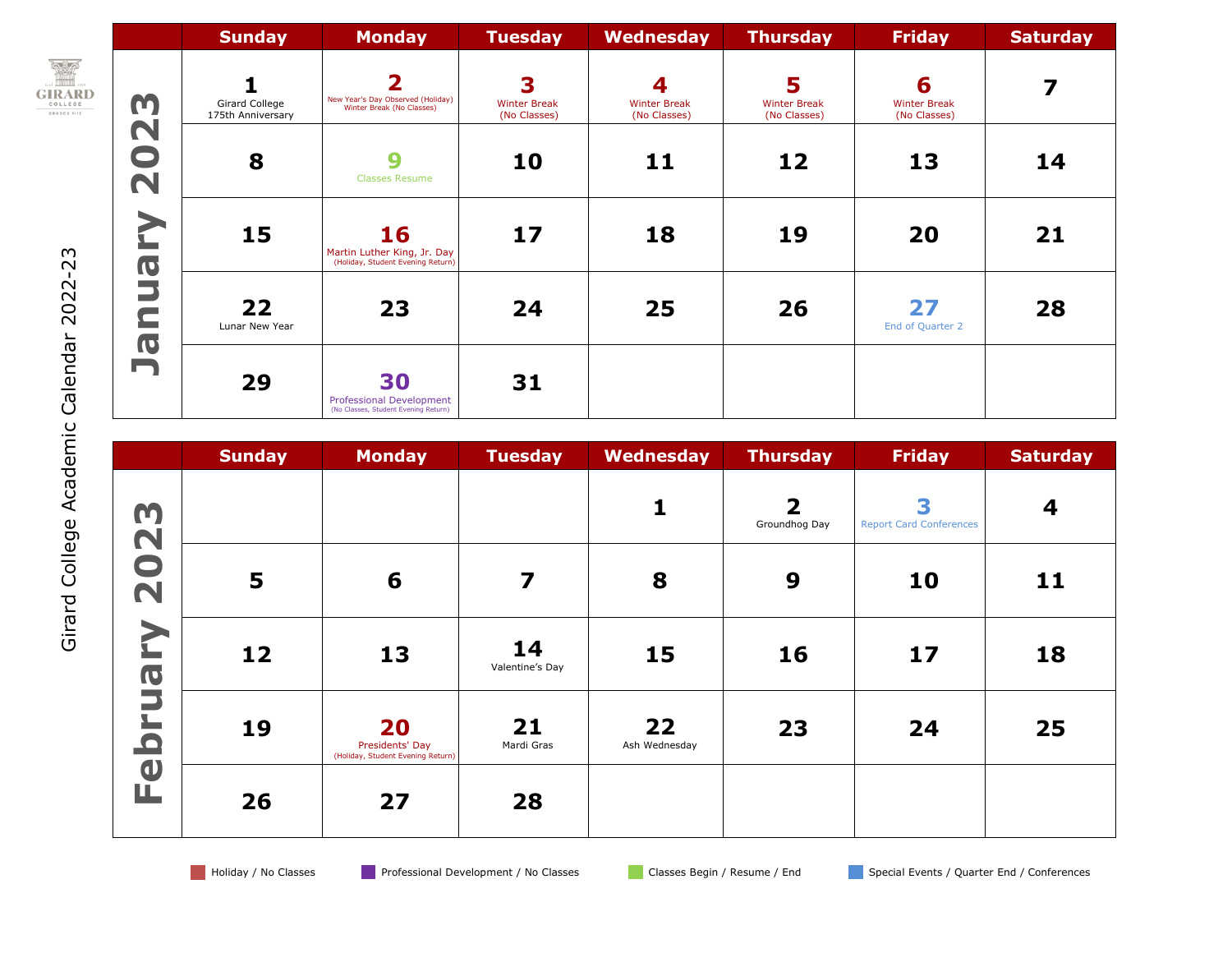|                                                       |                                    | <b>Sunday</b>                       | <b>Monday</b>                                                                 | <b>Tuesday</b>                           | Wednesday                                | <b>Thursday</b>                          | <b>Friday</b>                            | <b>Saturday</b> |
|-------------------------------------------------------|------------------------------------|-------------------------------------|-------------------------------------------------------------------------------|------------------------------------------|------------------------------------------|------------------------------------------|------------------------------------------|-----------------|
| <b>REP</b><br><b>GIRARD</b><br>COLLEGE<br>GRADES 1-12 | m                                  | Girard College<br>175th Anniversary | 2<br>New Year's Day Observed (Holiday)<br>Winter Break (No Classes)           | 3<br><b>Winter Break</b><br>(No Classes) | 4<br><b>Winter Break</b><br>(No Classes) | 5<br><b>Winter Break</b><br>(No Classes) | 6<br><b>Winter Break</b><br>(No Classes) |                 |
|                                                       | N<br>$\overline{\phantom{0}}$<br>N | 8                                   | 9<br><b>Classes Resume</b>                                                    | 10                                       | 11                                       | 12                                       | 13                                       | 14              |
|                                                       | <b>IQ</b>                          | 15                                  | 16<br>Martin Luther King, Jr. Day<br>(Holiday, Student Evening Return)        | 17                                       | 18                                       | 19                                       | 20                                       | 21              |
| 2022-23                                               | $\equiv$                           | 22<br>Lunar New Year                | 23                                                                            | 24                                       | 25                                       | 26                                       | 27<br>End of Quarter 2                   | 28              |
| Calendar                                              | <b>IQ</b><br>ŋ                     | 29                                  | 30<br><b>Professional Development</b><br>(No Classes, Student Evening Return) | 31                                       |                                          |                                          |                                          |                 |

|                                      | <b>Sunday</b>  | <b>Monday</b>                                              | <b>Tuesday</b>        | Wednesday           | <b>Thursday</b>                          | <b>Friday</b>                       | <b>Saturday</b> |
|--------------------------------------|----------------|------------------------------------------------------------|-----------------------|---------------------|------------------------------------------|-------------------------------------|-----------------|
| m                                    |                |                                                            |                       |                     | $\overline{\mathbf{2}}$<br>Groundhog Day | 3<br><b>Report Card Conferences</b> | 4               |
| 202                                  | $5\phantom{1}$ | 6                                                          | 7                     | 8                   | 9                                        | 10                                  | 11              |
| <u> 2</u><br>$\overline{\textbf{C}}$ | 12             | 13                                                         | 14<br>Valentine's Day | 15                  | 16                                       | 17                                  | 18              |
| E<br>$\overline{\mathbf{C}}$         | 19             | 20<br>Presidents' Day<br>(Holiday, Student Evening Return) | 21<br>Mardi Gras      | 22<br>Ash Wednesday | 23                                       | 24                                  | 25              |
| $\bigcirc$<br>щ                      | 26             | 27                                                         | 28                    |                     |                                          |                                     |                 |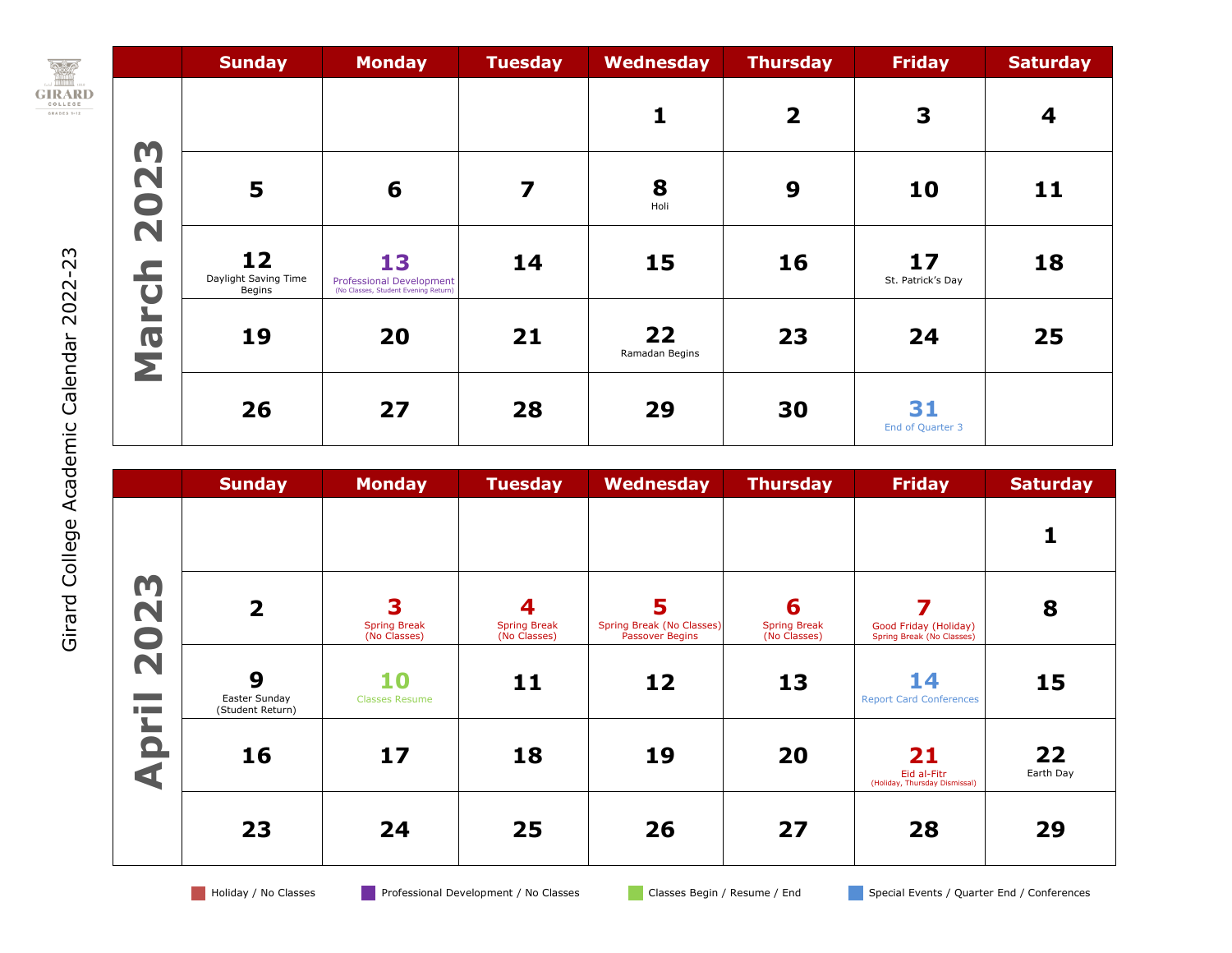

|                                | <b>Sunday</b>                        | <b>Monday</b>                                                          | <b>Tuesday</b>          | Wednesday            | <b>Thursday</b>         | <b>Friday</b>           | <b>Saturday</b> |
|--------------------------------|--------------------------------------|------------------------------------------------------------------------|-------------------------|----------------------|-------------------------|-------------------------|-----------------|
|                                |                                      |                                                                        |                         |                      | $\overline{\mathbf{2}}$ | 3                       | 4               |
| 2023                           | 5                                    | 6                                                                      | $\overline{\mathbf{z}}$ | 8<br>Holi            | 9                       | 10                      | 11              |
| $\mathbf{r}$<br>$\overline{u}$ | 12<br>Daylight Saving Time<br>Begins | 13<br>Professional Development<br>(No Classes, Student Evening Return) | 14                      | 15                   | 16                      | 17<br>St. Patrick's Day | 18              |
| $\mathbf{L}$<br><b>PIN</b>     | 19                                   | 20                                                                     | 21                      | 22<br>Ramadan Begins | 23                      | 24                      | 25              |
|                                | 26                                   | 27                                                                     | 28                      | 29                   | 30                      | 31<br>End of Quarter 3  |                 |

|                                                                                                                                            | <b>Sunday</b>                          | <b>Monday</b>                            | <b>Tuesday</b>                           | Wednesday                                         | <b>Thursday</b>                          | <b>Friday</b>                                      | <b>Saturday</b> |
|--------------------------------------------------------------------------------------------------------------------------------------------|----------------------------------------|------------------------------------------|------------------------------------------|---------------------------------------------------|------------------------------------------|----------------------------------------------------|-----------------|
| 023<br>$\overline{\mathbf{N}}$<br><b>Contract</b><br><b>The Company</b><br>$\overline{\phantom{a}}$<br>$\Omega$<br>$\overline{\textbf{d}}$ |                                        |                                          |                                          |                                                   |                                          |                                                    |                 |
|                                                                                                                                            | $\overline{\mathbf{2}}$                | 3<br><b>Spring Break</b><br>(No Classes) | 4<br><b>Spring Break</b><br>(No Classes) | 5<br>Spring Break (No Classes)<br>Passover Begins | 6<br><b>Spring Break</b><br>(No Classes) | Good Friday (Holiday)<br>Spring Break (No Classes) | 8               |
|                                                                                                                                            | 9<br>Easter Sunday<br>(Student Return) | 10<br><b>Classes Resume</b>              | 11                                       | 12                                                | 13                                       | 14<br><b>Report Card Conferences</b>               | 15              |
|                                                                                                                                            | 16                                     | 17                                       | 18                                       | 19                                                | 20                                       | 21<br>Eid al-Fitr<br>(Holiday, Thursday Dismissal) | 22<br>Earth Day |
|                                                                                                                                            | 23                                     | 24                                       | 25                                       | 26                                                | 27                                       | 28                                                 | 29              |